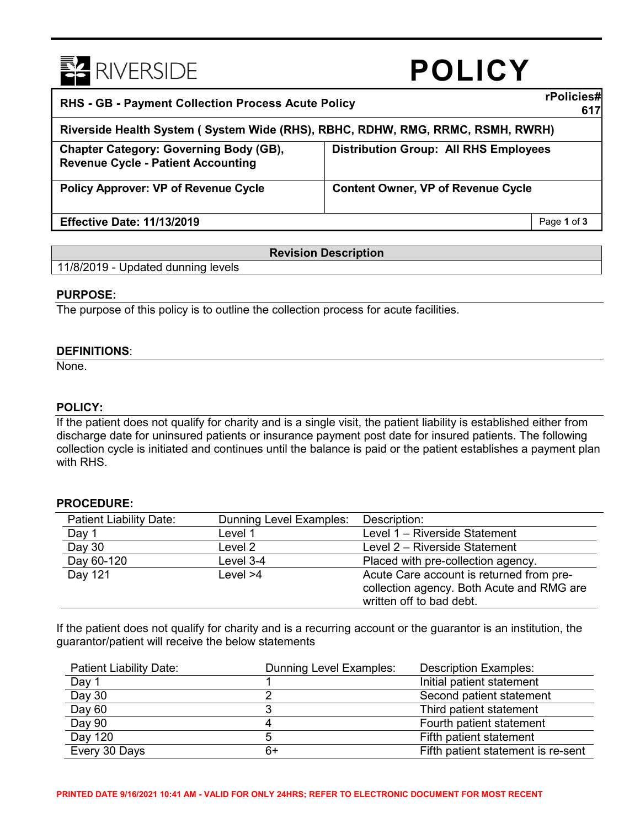

# **POLICY**

| <b>RHS - GB - Payment Collection Process Acute Policy</b>                                  |                                              |
|--------------------------------------------------------------------------------------------|----------------------------------------------|
| Riverside Health System (System Wide (RHS), RBHC, RDHW, RMG, RRMC, RSMH, RWRH)             |                                              |
| <b>Chapter Category: Governing Body (GB),</b><br><b>Revenue Cycle - Patient Accounting</b> | <b>Distribution Group: All RHS Employees</b> |
| <b>Policy Approver: VP of Revenue Cycle</b>                                                | <b>Content Owner, VP of Revenue Cycle</b>    |
| <b>Effective Date: 11/13/2019</b>                                                          | Page 1 of 3                                  |

# **Revision Description**

11/8/2019 - Updated dunning levels

## **PURPOSE:**

The purpose of this policy is to outline the collection process for acute facilities.

## **DEFINITIONS**:

None.

## **POLICY:**

If the patient does not qualify for charity and is a single visit, the patient liability is established either from discharge date for uninsured patients or insurance payment post date for insured patients. The following collection cycle is initiated and continues until the balance is paid or the patient establishes a payment plan with RHS.

#### **PROCEDURE:**

| Patient Liability Date: | Dunning Level Examples: | Description:                                                                                                      |
|-------------------------|-------------------------|-------------------------------------------------------------------------------------------------------------------|
| Day 1                   | Level 1                 | Level 1 - Riverside Statement                                                                                     |
| Day 30                  | Level 2                 | Level 2 - Riverside Statement                                                                                     |
| Day 60-120              | Level 3-4               | Placed with pre-collection agency.                                                                                |
| Day 121                 | Level $>4$              | Acute Care account is returned from pre-<br>collection agency. Both Acute and RMG are<br>written off to bad debt. |

If the patient does not qualify for charity and is a recurring account or the guarantor is an institution, the guarantor/patient will receive the below statements

| Patient Liability Date: | Dunning Level Examples: | <b>Description Examples:</b>       |
|-------------------------|-------------------------|------------------------------------|
| Day 1                   |                         | Initial patient statement          |
| Day 30                  |                         | Second patient statement           |
| Day 60                  |                         | Third patient statement            |
| Day 90                  |                         | Fourth patient statement           |
| Day 120                 |                         | Fifth patient statement            |
| Every 30 Days           | 6+                      | Fifth patient statement is re-sent |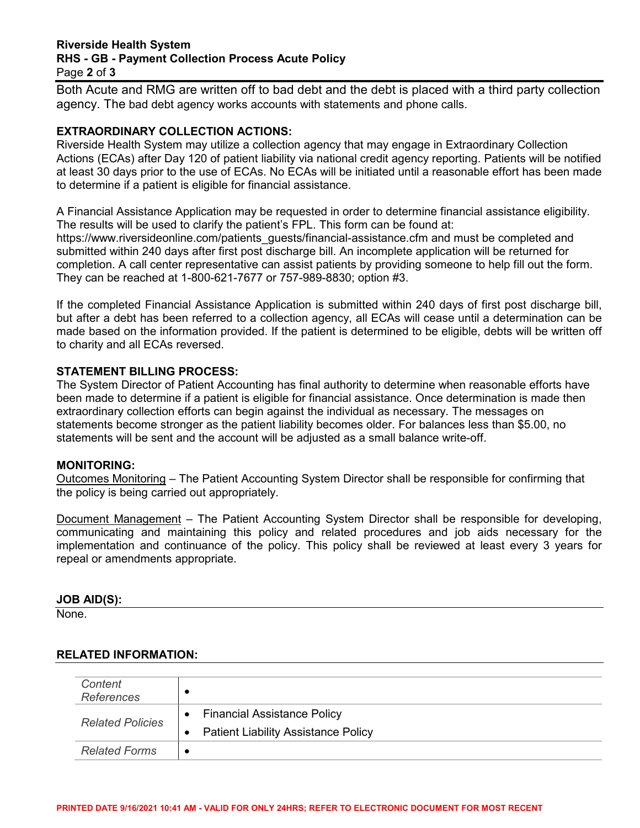#### **Riverside Health System RHS - GB - Payment Collection Process Acute Policy**  Page **2** of **3**

Both Acute and RMG are written off to bad debt and the debt is placed with a third party collection agency. The bad debt agency works accounts with statements and phone calls.

## **EXTRAORDINARY COLLECTION ACTIONS:**

Riverside Health System may utilize a collection agency that may engage in Extraordinary Collection Actions (ECAs) after Day 120 of patient liability via national credit agency reporting. Patients will be notified at least 30 days prior to the use of ECAs. No ECAs will be initiated until a reasonable effort has been made to determine if a patient is eligible for financial assistance.

A Financial Assistance Application may be requested in order to determine financial assistance eligibility. The results will be used to clarify the patient's FPL. This form can be found at: https://www.riversideonline.com/patients\_guests/financial-assistance.cfm and must be completed and submitted within 240 days after first post discharge bill. An incomplete application will be returned for completion. A call center representative can assist patients by providing someone to help fill out the form. They can be reached at 1-800-621-7677 or 757-989-8830; option #3.

If the completed Financial Assistance Application is submitted within 240 days of first post discharge bill, but after a debt has been referred to a collection agency, all ECAs will cease until a determination can be made based on the information provided. If the patient is determined to be eligible, debts will be written off to charity and all ECAs reversed.

## **STATEMENT BILLING PROCESS:**

The System Director of Patient Accounting has final authority to determine when reasonable efforts have been made to determine if a patient is eligible for financial assistance. Once determination is made then extraordinary collection efforts can begin against the individual as necessary. The messages on statements become stronger as the patient liability becomes older. For balances less than \$5.00, no statements will be sent and the account will be adjusted as a small balance write-off.

#### **MONITORING:**

Outcomes Monitoring – The Patient Accounting System Director shall be responsible for confirming that the policy is being carried out appropriately.

Document Management – The Patient Accounting System Director shall be responsible for developing, communicating and maintaining this policy and related procedures and job aids necessary for the implementation and continuance of the policy. This policy shall be reviewed at least every 3 years for repeal or amendments appropriate.

#### **JOB AID(S):**

None.

#### **RELATED INFORMATION:**

| Content<br><b>References</b> | $\bullet$                                                                                                  |
|------------------------------|------------------------------------------------------------------------------------------------------------|
| <b>Related Policies</b>      | <b>Financial Assistance Policy</b><br>$\bullet$<br><b>Patient Liability Assistance Policy</b><br>$\bullet$ |
| <b>Related Forms</b>         | ٠                                                                                                          |